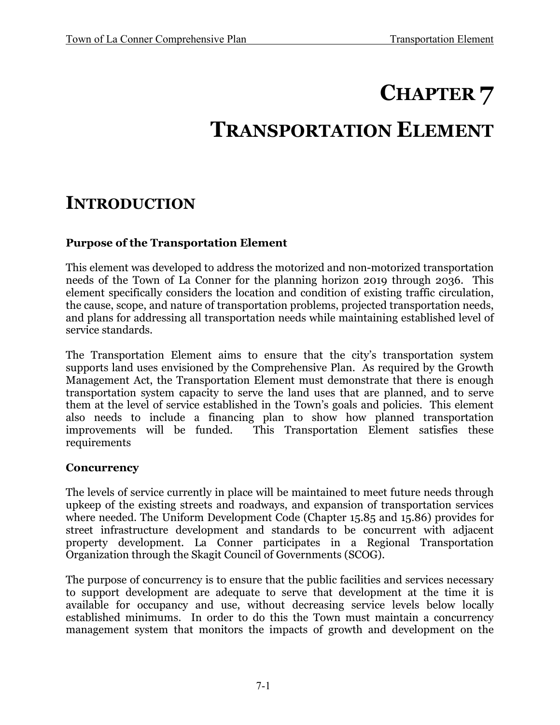# **CHAPTER 7**

# **TRANSPORTATION ELEMENT**

# **INTRODUCTION**

# **Purpose of the Transportation Element**

This element was developed to address the motorized and non-motorized transportation needs of the Town of La Conner for the planning horizon 2019 through 2036. This element specifically considers the location and condition of existing traffic circulation, the cause, scope, and nature of transportation problems, projected transportation needs, and plans for addressing all transportation needs while maintaining established level of service standards.

The Transportation Element aims to ensure that the city's transportation system supports land uses envisioned by the Comprehensive Plan. As required by the Growth Management Act, the Transportation Element must demonstrate that there is enough transportation system capacity to serve the land uses that are planned, and to serve them at the level of service established in the Town's goals and policies. This element also needs to include a financing plan to show how planned transportation This Transportation Element satisfies these requirements

### **Concurrency**

The levels of service currently in place will be maintained to meet future needs through upkeep of the existing streets and roadways, and expansion of transportation services where needed. The Uniform Development Code (Chapter 15.85 and 15.86) provides for street infrastructure development and standards to be concurrent with adjacent property development. La Conner participates in a Regional Transportation Organization through the Skagit Council of Governments (SCOG).

The purpose of concurrency is to ensure that the public facilities and services necessary to support development are adequate to serve that development at the time it is available for occupancy and use, without decreasing service levels below locally established minimums. In order to do this the Town must maintain a concurrency management system that monitors the impacts of growth and development on the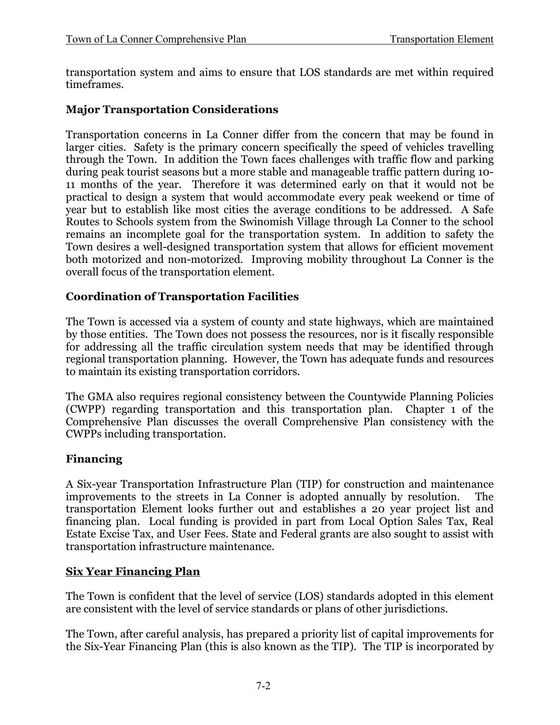transportation system and aims to ensure that LOS standards are met within required timeframes.

### **Major Transportation Considerations**

Transportation concerns in La Conner differ from the concern that may be found in larger cities. Safety is the primary concern specifically the speed of vehicles travelling through the Town. In addition the Town faces challenges with traffic flow and parking during peak tourist seasons but a more stable and manageable traffic pattern during 10- 11 months of the year. Therefore it was determined early on that it would not be practical to design a system that would accommodate every peak weekend or time of year but to establish like most cities the average conditions to be addressed. A Safe Routes to Schools system from the Swinomish Village through La Conner to the school remains an incomplete goal for the transportation system. In addition to safety the Town desires a well-designed transportation system that allows for efficient movement both motorized and non-motorized. Improving mobility throughout La Conner is the overall focus of the transportation element.

# **Coordination of Transportation Facilities**

The Town is accessed via a system of county and state highways, which are maintained by those entities. The Town does not possess the resources, nor is it fiscally responsible for addressing all the traffic circulation system needs that may be identified through regional transportation planning. However, the Town has adequate funds and resources to maintain its existing transportation corridors.

The GMA also requires regional consistency between the Countywide Planning Policies (CWPP) regarding transportation and this transportation plan. Chapter 1 of the Comprehensive Plan discusses the overall Comprehensive Plan consistency with the CWPPs including transportation.

### **Financing**

A Six-year Transportation Infrastructure Plan (TIP) for construction and maintenance improvements to the streets in La Conner is adopted annually by resolution. The transportation Element looks further out and establishes a 20 year project list and financing plan. Local funding is provided in part from Local Option Sales Tax, Real Estate Excise Tax, and User Fees. State and Federal grants are also sought to assist with transportation infrastructure maintenance.

### **Six Year Financing Plan**

The Town is confident that the level of service (LOS) standards adopted in this element are consistent with the level of service standards or plans of other jurisdictions.

The Town, after careful analysis, has prepared a priority list of capital improvements for the Six-Year Financing Plan (this is also known as the TIP). The TIP is incorporated by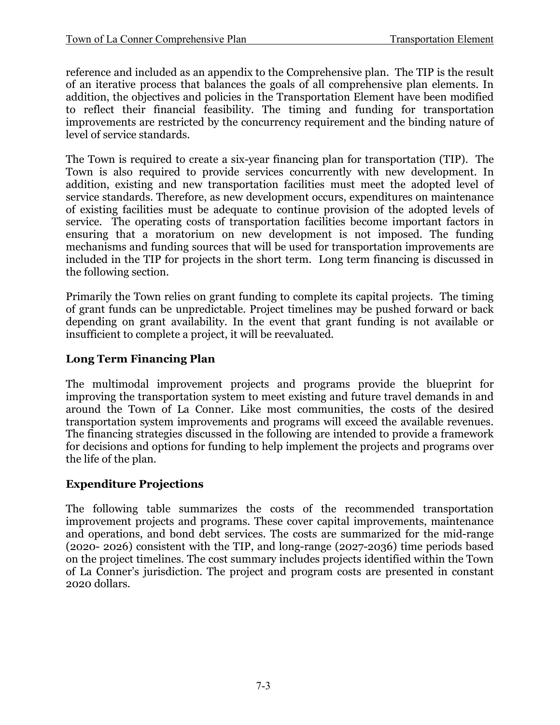reference and included as an appendix to the Comprehensive plan. The TIP is the result of an iterative process that balances the goals of all comprehensive plan elements. In addition, the objectives and policies in the Transportation Element have been modified to reflect their financial feasibility. The timing and funding for transportation improvements are restricted by the concurrency requirement and the binding nature of level of service standards.

The Town is required to create a six-year financing plan for transportation (TIP). The Town is also required to provide services concurrently with new development. In addition, existing and new transportation facilities must meet the adopted level of service standards. Therefore, as new development occurs, expenditures on maintenance of existing facilities must be adequate to continue provision of the adopted levels of service. The operating costs of transportation facilities become important factors in ensuring that a moratorium on new development is not imposed. The funding mechanisms and funding sources that will be used for transportation improvements are included in the TIP for projects in the short term. Long term financing is discussed in the following section.

Primarily the Town relies on grant funding to complete its capital projects. The timing of grant funds can be unpredictable. Project timelines may be pushed forward or back depending on grant availability. In the event that grant funding is not available or insufficient to complete a project, it will be reevaluated.

# **Long Term Financing Plan**

The multimodal improvement projects and programs provide the blueprint for improving the transportation system to meet existing and future travel demands in and around the Town of La Conner. Like most communities, the costs of the desired transportation system improvements and programs will exceed the available revenues. The financing strategies discussed in the following are intended to provide a framework for decisions and options for funding to help implement the projects and programs over the life of the plan.

# **Expenditure Projections**

The following table summarizes the costs of the recommended transportation improvement projects and programs. These cover capital improvements, maintenance and operations, and bond debt services. The costs are summarized for the mid-range (2020- 2026) consistent with the TIP, and long-range (2027-2036) time periods based on the project timelines. The cost summary includes projects identified within the Town of La Conner's jurisdiction. The project and program costs are presented in constant 2020 dollars.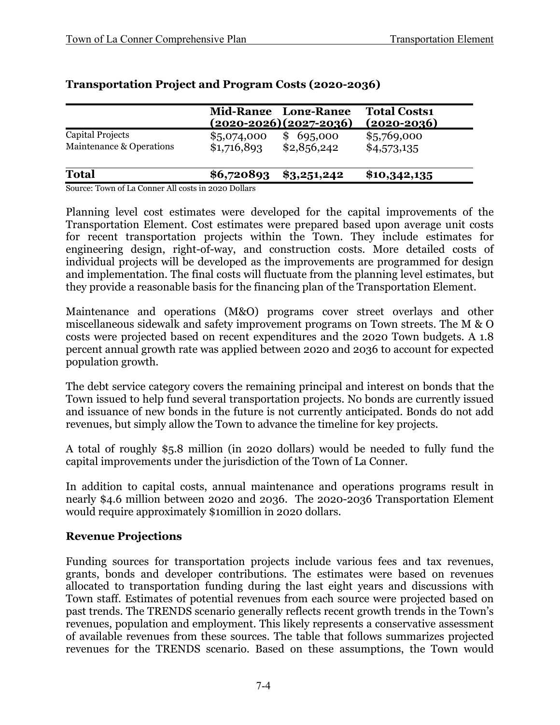|                                                     |                            | Mid-Range Long-Range<br><u>(2020-2026)(2027-2036)</u> | <b>Total Costs1</b><br>$(2020 - 2036)$ |
|-----------------------------------------------------|----------------------------|-------------------------------------------------------|----------------------------------------|
| <b>Capital Projects</b><br>Maintenance & Operations | \$5,074,000<br>\$1,716,893 | 695,000<br>\$<br>\$2,856,242                          | \$5,769,000<br>\$4,573,135             |
| <b>Total</b>                                        | \$6,720893                 | $\$3,251,242$                                         | \$10,342,135                           |

# **Transportation Project and Program Costs (2020-2036)**

Source: Town of La Conner All costs in 2020 Dollars

Planning level cost estimates were developed for the capital improvements of the Transportation Element. Cost estimates were prepared based upon average unit costs for recent transportation projects within the Town. They include estimates for engineering design, right-of-way, and construction costs. More detailed costs of individual projects will be developed as the improvements are programmed for design and implementation. The final costs will fluctuate from the planning level estimates, but they provide a reasonable basis for the financing plan of the Transportation Element.

Maintenance and operations (M&O) programs cover street overlays and other miscellaneous sidewalk and safety improvement programs on Town streets. The M & O costs were projected based on recent expenditures and the 2020 Town budgets. A 1.8 percent annual growth rate was applied between 2020 and 2036 to account for expected population growth.

The debt service category covers the remaining principal and interest on bonds that the Town issued to help fund several transportation projects. No bonds are currently issued and issuance of new bonds in the future is not currently anticipated. Bonds do not add revenues, but simply allow the Town to advance the timeline for key projects.

A total of roughly \$5.8 million (in 2020 dollars) would be needed to fully fund the capital improvements under the jurisdiction of the Town of La Conner.

In addition to capital costs, annual maintenance and operations programs result in nearly \$4.6 million between 2020 and 2036. The 2020-2036 Transportation Element would require approximately \$10million in 2020 dollars.

# **Revenue Projections**

Funding sources for transportation projects include various fees and tax revenues, grants, bonds and developer contributions. The estimates were based on revenues allocated to transportation funding during the last eight years and discussions with Town staff. Estimates of potential revenues from each source were projected based on past trends. The TRENDS scenario generally reflects recent growth trends in the Town's revenues, population and employment. This likely represents a conservative assessment of available revenues from these sources. The table that follows summarizes projected revenues for the TRENDS scenario. Based on these assumptions, the Town would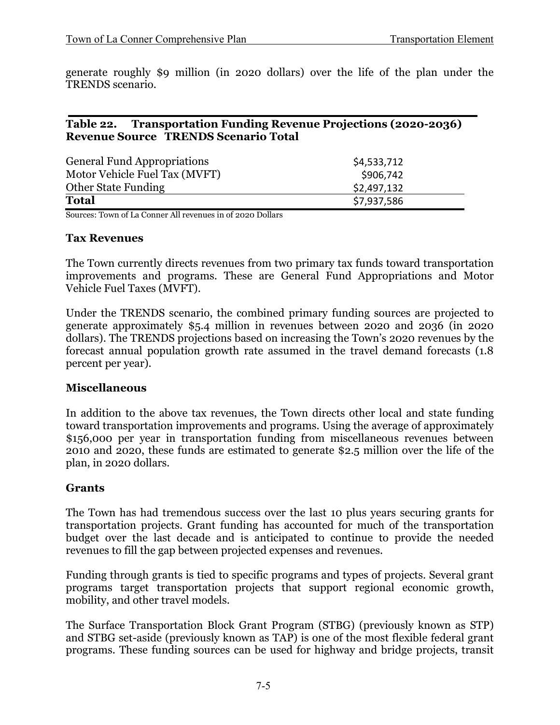generate roughly \$9 million (in 2020 dollars) over the life of the plan under the TRENDS scenario.

# **Table 22. Transportation Funding Revenue Projections (2020-2036) Revenue Source TRENDS Scenario Total**

| <b>General Fund Appropriations</b> | \$4,533,712 |
|------------------------------------|-------------|
| Motor Vehicle Fuel Tax (MVFT)      | \$906,742   |
| <b>Other State Funding</b>         | \$2,497,132 |
| <b>Total</b>                       | \$7,937,586 |

Sources: Town of La Conner All revenues in of 2020 Dollars

### **Tax Revenues**

The Town currently directs revenues from two primary tax funds toward transportation improvements and programs. These are General Fund Appropriations and Motor Vehicle Fuel Taxes (MVFT).

Under the TRENDS scenario, the combined primary funding sources are projected to generate approximately \$5.4 million in revenues between 2020 and 2036 (in 2020 dollars). The TRENDS projections based on increasing the Town's 2020 revenues by the forecast annual population growth rate assumed in the travel demand forecasts (1.8 percent per year).

### **Miscellaneous**

In addition to the above tax revenues, the Town directs other local and state funding toward transportation improvements and programs. Using the average of approximately \$156,000 per year in transportation funding from miscellaneous revenues between 2010 and 2020, these funds are estimated to generate \$2.5 million over the life of the plan, in 2020 dollars.

# **Grants**

The Town has had tremendous success over the last 10 plus years securing grants for transportation projects. Grant funding has accounted for much of the transportation budget over the last decade and is anticipated to continue to provide the needed revenues to fill the gap between projected expenses and revenues.

Funding through grants is tied to specific programs and types of projects. Several grant programs target transportation projects that support regional economic growth, mobility, and other travel models.

The Surface Transportation Block Grant Program (STBG) (previously known as STP) and STBG set-aside (previously known as TAP) is one of the most flexible federal grant programs. These funding sources can be used for highway and bridge projects, transit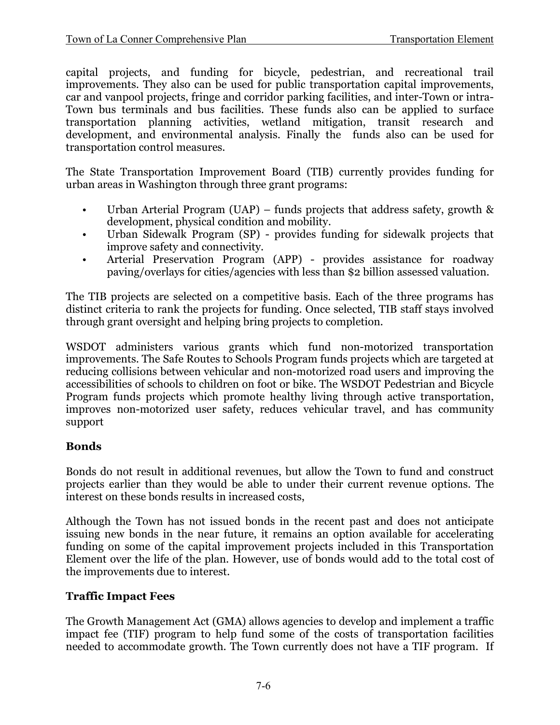capital projects, and funding for bicycle, pedestrian, and recreational trail improvements. They also can be used for public transportation capital improvements, car and vanpool projects, fringe and corridor parking facilities, and inter-Town or intra-Town bus terminals and bus facilities. These funds also can be applied to surface transportation planning activities, wetland mitigation, transit research and development, and environmental analysis. Finally the funds also can be used for transportation control measures.

The State Transportation Improvement Board (TIB) currently provides funding for urban areas in Washington through three grant programs:

- Urban Arterial Program (UAP) funds projects that address safety, growth & development, physical condition and mobility.
- Urban Sidewalk Program (SP) provides funding for sidewalk projects that improve safety and connectivity.
- Arterial Preservation Program (APP) provides assistance for roadway paving/overlays for cities/agencies with less than \$2 billion assessed valuation.

The TIB projects are selected on a competitive basis. Each of the three programs has distinct criteria to rank the projects for funding. Once selected, TIB staff stays involved through grant oversight and helping bring projects to completion.

WSDOT administers various grants which fund non-motorized transportation improvements. The Safe Routes to Schools Program funds projects which are targeted at reducing collisions between vehicular and non-motorized road users and improving the accessibilities of schools to children on foot or bike. The WSDOT Pedestrian and Bicycle Program funds projects which promote healthy living through active transportation, improves non-motorized user safety, reduces vehicular travel, and has community support

# **Bonds**

Bonds do not result in additional revenues, but allow the Town to fund and construct projects earlier than they would be able to under their current revenue options. The interest on these bonds results in increased costs,

Although the Town has not issued bonds in the recent past and does not anticipate issuing new bonds in the near future, it remains an option available for accelerating funding on some of the capital improvement projects included in this Transportation Element over the life of the plan. However, use of bonds would add to the total cost of the improvements due to interest.

# **Traffic Impact Fees**

The Growth Management Act (GMA) allows agencies to develop and implement a traffic impact fee (TIF) program to help fund some of the costs of transportation facilities needed to accommodate growth. The Town currently does not have a TIF program. If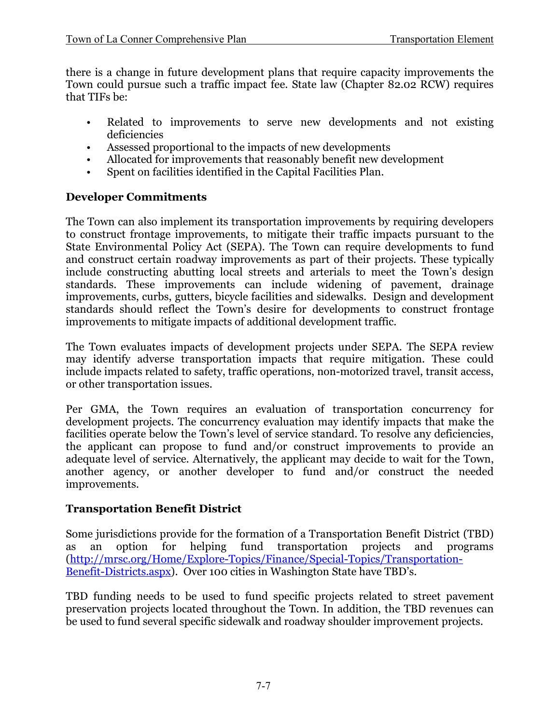there is a change in future development plans that require capacity improvements the Town could pursue such a traffic impact fee. State law (Chapter 82.02 RCW) requires that TIFs be:

- Related to improvements to serve new developments and not existing deficiencies
- Assessed proportional to the impacts of new developments
- Allocated for improvements that reasonably benefit new development
- Spent on facilities identified in the Capital Facilities Plan.

# **Developer Commitments**

The Town can also implement its transportation improvements by requiring developers to construct frontage improvements, to mitigate their traffic impacts pursuant to the State Environmental Policy Act (SEPA). The Town can require developments to fund and construct certain roadway improvements as part of their projects. These typically include constructing abutting local streets and arterials to meet the Town's design standards. These improvements can include widening of pavement, drainage improvements, curbs, gutters, bicycle facilities and sidewalks. Design and development standards should reflect the Town's desire for developments to construct frontage improvements to mitigate impacts of additional development traffic.

The Town evaluates impacts of development projects under SEPA. The SEPA review may identify adverse transportation impacts that require mitigation. These could include impacts related to safety, traffic operations, non-motorized travel, transit access, or other transportation issues.

Per GMA, the Town requires an evaluation of transportation concurrency for development projects. The concurrency evaluation may identify impacts that make the facilities operate below the Town's level of service standard. To resolve any deficiencies, the applicant can propose to fund and/or construct improvements to provide an adequate level of service. Alternatively, the applicant may decide to wait for the Town, another agency, or another developer to fund and/or construct the needed improvements.

# **Transportation Benefit District**

Some jurisdictions provide for the formation of a Transportation Benefit District (TBD)<br>as an option for helping fund transportation projects and programs as an option for helping fund transportation projects and [\(http://mrsc.org/Home/Explore-Topics/Finance/Special-Topics/Transportation-](http://mrsc.org/Home/Explore-Topics/Finance/Special-Topics/Transportation-Benefit-Districts.aspx)[Benefit-Districts.aspx\)](http://mrsc.org/Home/Explore-Topics/Finance/Special-Topics/Transportation-Benefit-Districts.aspx). Over 100 cities in Washington State have TBD's.

TBD funding needs to be used to fund specific projects related to street pavement preservation projects located throughout the Town. In addition, the TBD revenues can be used to fund several specific sidewalk and roadway shoulder improvement projects.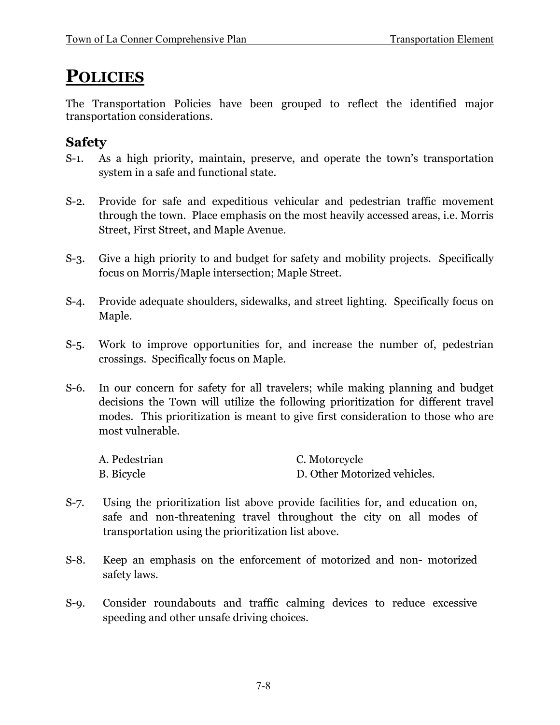# **POLICIES**

The Transportation Policies have been grouped to reflect the identified major transportation considerations.

# **Safety**

- S-1. As a high priority, maintain, preserve, and operate the town's transportation system in a safe and functional state.
- S-2. Provide for safe and expeditious vehicular and pedestrian traffic movement through the town. Place emphasis on the most heavily accessed areas, i.e. Morris Street, First Street, and Maple Avenue.
- S-3. Give a high priority to and budget for safety and mobility projects. Specifically focus on Morris/Maple intersection; Maple Street.
- S-4. Provide adequate shoulders, sidewalks, and street lighting. Specifically focus on Maple.
- S-5. Work to improve opportunities for, and increase the number of, pedestrian crossings. Specifically focus on Maple.
- S-6. In our concern for safety for all travelers; while making planning and budget decisions the Town will utilize the following prioritization for different travel modes. This prioritization is meant to give first consideration to those who are most vulnerable.

| A. Pedestrian     | C. Motorcycle                |
|-------------------|------------------------------|
| <b>B.</b> Bicycle | D. Other Motorized vehicles. |

- S-7. Using the prioritization list above provide facilities for, and education on, safe and non-threatening travel throughout the city on all modes of transportation using the prioritization list above.
- S-8. Keep an emphasis on the enforcement of motorized and non- motorized safety laws.
- S-9. Consider roundabouts and traffic calming devices to reduce excessive speeding and other unsafe driving choices.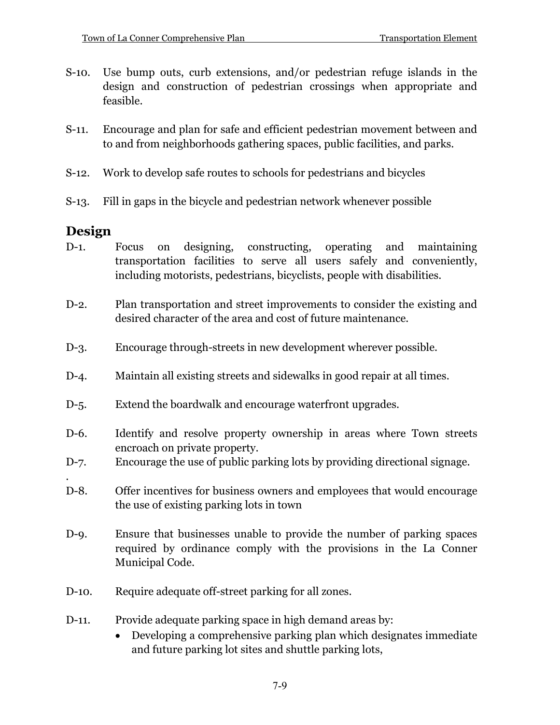- S-10. Use bump outs, curb extensions, and/or pedestrian refuge islands in the design and construction of pedestrian crossings when appropriate and feasible.
- S-11. Encourage and plan for safe and efficient pedestrian movement between and to and from neighborhoods gathering spaces, public facilities, and parks.
- S-12. Work to develop safe routes to schools for pedestrians and bicycles
- S-13. Fill in gaps in the bicycle and pedestrian network whenever possible

# **Design**

.

- D-1. Focus on designing, constructing, operating and maintaining transportation facilities to serve all users safely and conveniently, including motorists, pedestrians, bicyclists, people with disabilities.
- D-2. Plan transportation and street improvements to consider the existing and desired character of the area and cost of future maintenance.
- D-3. Encourage through-streets in new development wherever possible.
- D-4. Maintain all existing streets and sidewalks in good repair at all times.
- D-5. Extend the boardwalk and encourage waterfront upgrades.
- D-6. Identify and resolve property ownership in areas where Town streets encroach on private property.
- D-7. Encourage the use of public parking lots by providing directional signage.
- D-8. Offer incentives for business owners and employees that would encourage the use of existing parking lots in town
- D-9. Ensure that businesses unable to provide the number of parking spaces required by ordinance comply with the provisions in the La Conner Municipal Code.
- D-10. Require adequate off-street parking for all zones.
- D-11. Provide adequate parking space in high demand areas by:
	- Developing a comprehensive parking plan which designates immediate and future parking lot sites and shuttle parking lots,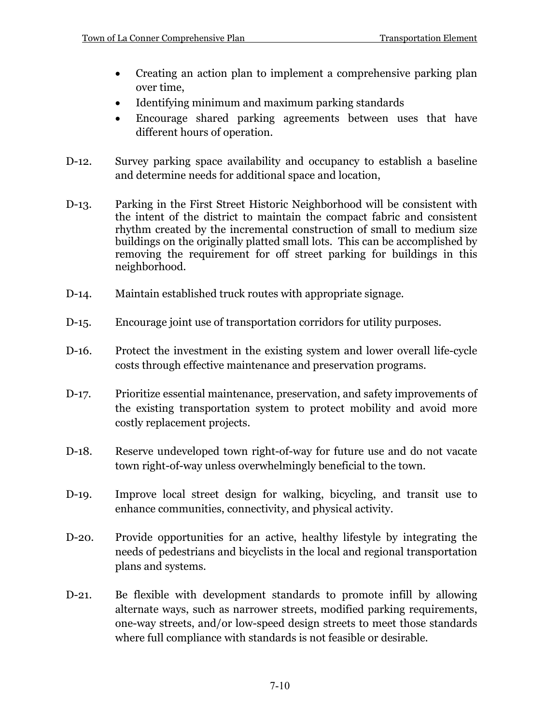- Creating an action plan to implement a comprehensive parking plan over time,
- Identifying minimum and maximum parking standards
- Encourage shared parking agreements between uses that have different hours of operation.
- D-12. Survey parking space availability and occupancy to establish a baseline and determine needs for additional space and location,
- D-13. Parking in the First Street Historic Neighborhood will be consistent with the intent of the district to maintain the compact fabric and consistent rhythm created by the incremental construction of small to medium size buildings on the originally platted small lots. This can be accomplished by removing the requirement for off street parking for buildings in this neighborhood.
- D-14. Maintain established truck routes with appropriate signage.
- D-15. Encourage joint use of transportation corridors for utility purposes.
- D-16. Protect the investment in the existing system and lower overall life-cycle costs through effective maintenance and preservation programs.
- D-17. Prioritize essential maintenance, preservation, and safety improvements of the existing transportation system to protect mobility and avoid more costly replacement projects.
- D-18. Reserve undeveloped town right-of-way for future use and do not vacate town right-of-way unless overwhelmingly beneficial to the town.
- D-19. Improve local street design for walking, bicycling, and transit use to enhance communities, connectivity, and physical activity.
- D-20. Provide opportunities for an active, healthy lifestyle by integrating the needs of pedestrians and bicyclists in the local and regional transportation plans and systems.
- D-21. Be flexible with development standards to promote infill by allowing alternate ways, such as narrower streets, modified parking requirements, one-way streets, and/or low-speed design streets to meet those standards where full compliance with standards is not feasible or desirable.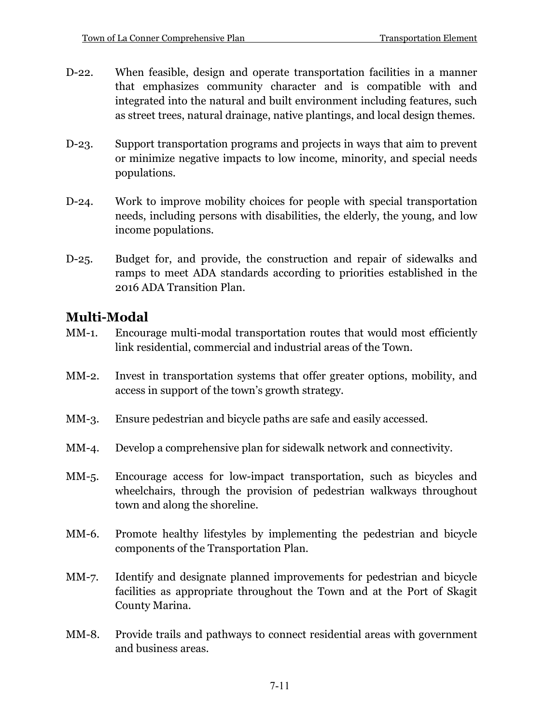- D-22. When feasible, design and operate transportation facilities in a manner that emphasizes community character and is compatible with and integrated into the natural and built environment including features, such as street trees, natural drainage, native plantings, and local design themes.
- D-23. Support transportation programs and projects in ways that aim to prevent or minimize negative impacts to low income, minority, and special needs populations.
- D-24. Work to improve mobility choices for people with special transportation needs, including persons with disabilities, the elderly, the young, and low income populations.
- D-25. Budget for, and provide, the construction and repair of sidewalks and ramps to meet ADA standards according to priorities established in the 2016 ADA Transition Plan.

# **Multi-Modal**

- MM-1. Encourage multi-modal transportation routes that would most efficiently link residential, commercial and industrial areas of the Town.
- MM-2. Invest in transportation systems that offer greater options, mobility, and access in support of the town's growth strategy.
- MM-3. Ensure pedestrian and bicycle paths are safe and easily accessed.
- MM-4. Develop a comprehensive plan for sidewalk network and connectivity.
- MM-5. Encourage access for low-impact transportation, such as bicycles and wheelchairs, through the provision of pedestrian walkways throughout town and along the shoreline.
- MM-6. Promote healthy lifestyles by implementing the pedestrian and bicycle components of the Transportation Plan.
- MM-7. Identify and designate planned improvements for pedestrian and bicycle facilities as appropriate throughout the Town and at the Port of Skagit County Marina.
- MM-8. Provide trails and pathways to connect residential areas with government and business areas.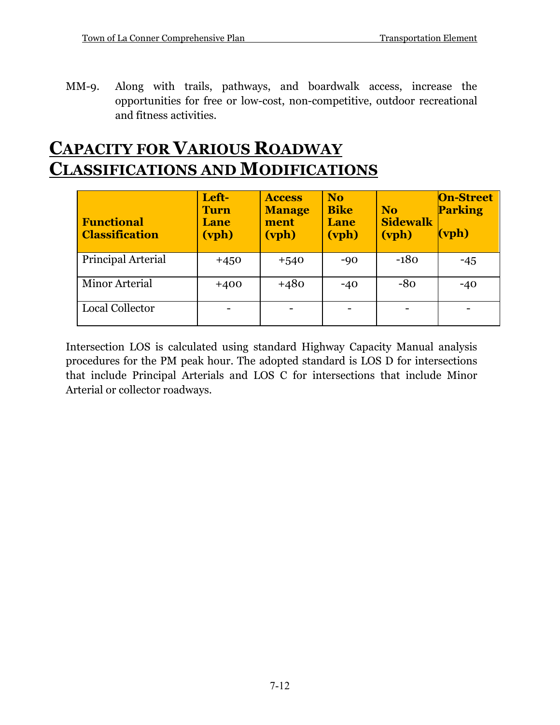MM-9. Along with trails, pathways, and boardwalk access, increase the opportunities for free or low-cost, non-competitive, outdoor recreational and fitness activities.

# **CAPACITY FOR VARIOUS ROADWAY CLASSIFICATIONS AND MODIFICATIONS**

| <b>Functional</b><br><b>Classification</b> | Left-<br><b>Turn</b><br>Lane<br>(vph) | <b>Access</b><br><b>Manage</b><br>ment<br>(vph) | <b>No</b><br><b>Bike</b><br><b>Lane</b><br>(vph) | <b>No</b><br><b>Sidewalk</b><br>(vph) | <b>On-Street</b><br><b>Parking</b><br>$(\text{vph})$ |
|--------------------------------------------|---------------------------------------|-------------------------------------------------|--------------------------------------------------|---------------------------------------|------------------------------------------------------|
| Principal Arterial                         | $+450$                                | $+540$                                          | $-90$                                            | $-180$                                | $-45$                                                |
| Minor Arterial                             | $+400$                                | $+480$                                          | $-40$                                            | $-80$                                 | $-40$                                                |
| Local Collector                            |                                       |                                                 |                                                  |                                       |                                                      |

Intersection LOS is calculated using standard Highway Capacity Manual analysis procedures for the PM peak hour. The adopted standard is LOS D for intersections that include Principal Arterials and LOS C for intersections that include Minor Arterial or collector roadways.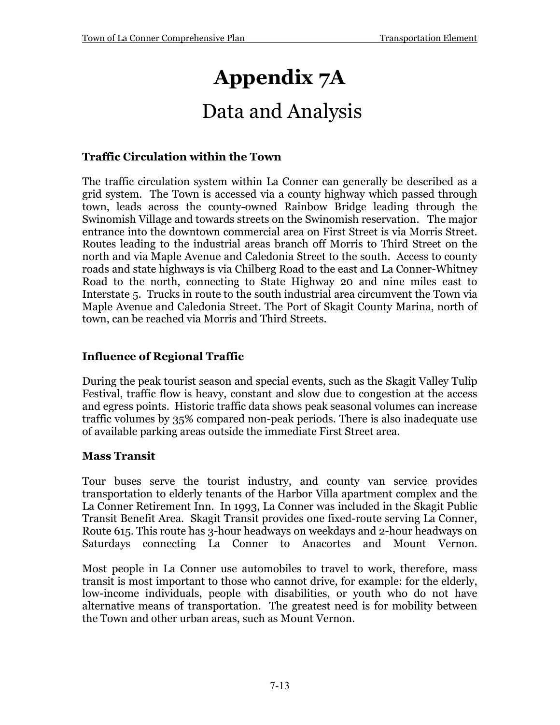# **Appendix 7A**

# Data and Analysis

# **Traffic Circulation within the Town**

The traffic circulation system within La Conner can generally be described as a grid system. The Town is accessed via a county highway which passed through town, leads across the county-owned Rainbow Bridge leading through the Swinomish Village and towards streets on the Swinomish reservation. The major entrance into the downtown commercial area on First Street is via Morris Street. Routes leading to the industrial areas branch off Morris to Third Street on the north and via Maple Avenue and Caledonia Street to the south. Access to county roads and state highways is via Chilberg Road to the east and La Conner-Whitney Road to the north, connecting to State Highway 20 and nine miles east to Interstate 5. Trucks in route to the south industrial area circumvent the Town via Maple Avenue and Caledonia Street. The Port of Skagit County Marina, north of town, can be reached via Morris and Third Streets.

# **Influence of Regional Traffic**

During the peak tourist season and special events, such as the Skagit Valley Tulip Festival, traffic flow is heavy, constant and slow due to congestion at the access and egress points. Historic traffic data shows peak seasonal volumes can increase traffic volumes by 35% compared non-peak periods. There is also inadequate use of available parking areas outside the immediate First Street area.

# **Mass Transit**

Tour buses serve the tourist industry, and county van service provides transportation to elderly tenants of the Harbor Villa apartment complex and the La Conner Retirement Inn. In 1993, La Conner was included in the Skagit Public Transit Benefit Area. Skagit Transit provides one fixed-route serving La Conner, Route 615. This route has 3-hour headways on weekdays and 2-hour headways on Saturdays connecting La Conner to Anacortes and Mount Vernon.

Most people in La Conner use automobiles to travel to work, therefore, mass transit is most important to those who cannot drive, for example: for the elderly, low-income individuals, people with disabilities, or youth who do not have alternative means of transportation. The greatest need is for mobility between the Town and other urban areas, such as Mount Vernon.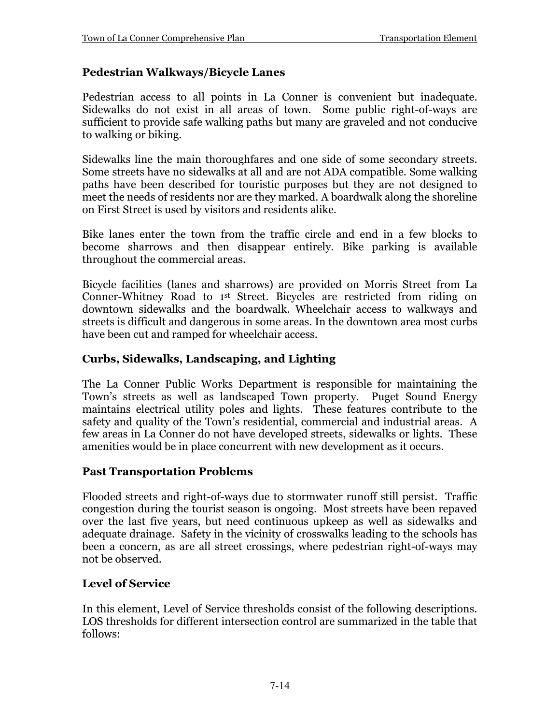# **Pedestrian Walkways/Bicycle Lanes**

Pedestrian access to all points in La Conner is convenient but inadequate. Sidewalks do not exist in all areas of town. Some public right-of-ways are sufficient to provide safe walking paths but many are graveled and not conducive to walking or biking.

Sidewalks line the main thoroughfares and one side of some secondary streets. Some streets have no sidewalks at all and are not ADA compatible. Some walking paths have been described for touristic purposes but they are not designed to meet the needs of residents nor are they marked. A boardwalk along the shoreline on First Street is used by visitors and residents alike.

Bike lanes enter the town from the traffic circle and end in a few blocks to become sharrows and then disappear entirely. Bike parking is available throughout the commercial areas.

Bicycle facilities (lanes and sharrows) are provided on Morris Street from La Conner-Whitney Road to 1<sup>st</sup> Street. Bicycles are restricted from riding on downtown sidewalks and the boardwalk. Wheelchair access to walkways and streets is difficult and dangerous in some areas. In the downtown area most curbs have been cut and ramped for wheelchair access.

# **Curbs, Sidewalks, Landscaping, and Lighting**

The La Conner Public Works Department is responsible for maintaining the Town's streets as well as landscaped Town property. Puget Sound Energy maintains electrical utility poles and lights. These features contribute to the safety and quality of the Town's residential, commercial and industrial areas. A few areas in La Conner do not have developed streets, sidewalks or lights. These amenities would be in place concurrent with new development as it occurs.

# **Past Transportation Problems**

Flooded streets and right-of-ways due to stormwater runoff still persist. Traffic congestion during the tourist season is ongoing. Most streets have been repaved over the last five years, but need continuous upkeep as well as sidewalks and adequate drainage. Safety in the vicinity of crosswalks leading to the schools has been a concern, as are all street crossings, where pedestrian right-of-ways may not be observed.

# **Level of Service**

In this element, Level of Service thresholds consist of the following descriptions. LOS thresholds for different intersection control are summarized in the table that follows: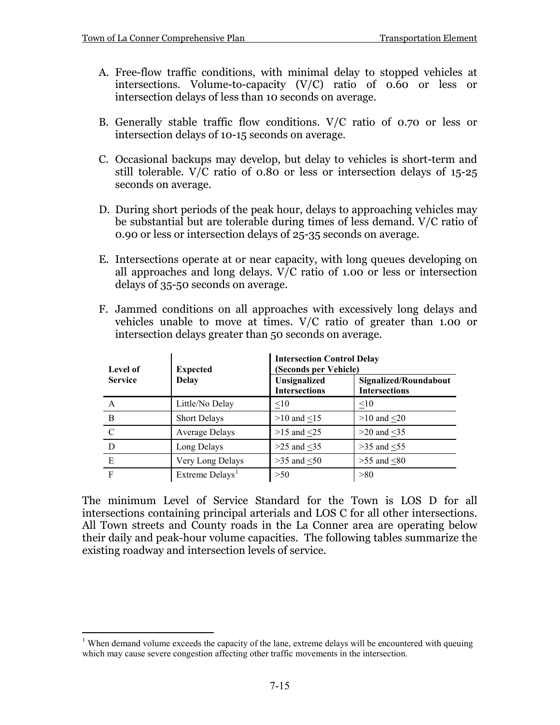- A. Free-flow traffic conditions, with minimal delay to stopped vehicles at intersections. Volume-to-capacity (V/C) ratio of 0.60 or less or intersection delays of less than 10 seconds on average.
- B. Generally stable traffic flow conditions. V/C ratio of 0.70 or less or intersection delays of 10-15 seconds on average.
- C. Occasional backups may develop, but delay to vehicles is short-term and still tolerable. V/C ratio of 0.80 or less or intersection delays of 15-25 seconds on average.
- D. During short periods of the peak hour, delays to approaching vehicles may be substantial but are tolerable during times of less demand. V/C ratio of 0.90 or less or intersection delays of 25-35 seconds on average.
- E. Intersections operate at or near capacity, with long queues developing on all approaches and long delays. V/C ratio of 1.00 or less or intersection delays of 35-50 seconds on average.
- F. Jammed conditions on all approaches with excessively long delays and vehicles unable to move at times. V/C ratio of greater than 1.00 or intersection delays greater than 50 seconds on average.

| Level of       | <b>Expected</b>             | <b>Intersection Control Delay</b><br>(Seconds per Vehicle) |                                               |  |
|----------------|-----------------------------|------------------------------------------------------------|-----------------------------------------------|--|
| <b>Service</b> | <b>Delay</b>                | Unsignalized<br><b>Intersections</b>                       | Signalized/Roundabout<br><b>Intersections</b> |  |
| A              | Little/No Delay             | $\leq10$                                                   | <10                                           |  |
| B              | <b>Short Delays</b>         | $>10$ and $\leq 15$                                        | $>10$ and $<20$                               |  |
| C              | Average Delays              | $>15$ and $<25$                                            | $>20$ and $<$ 35                              |  |
| D              | Long Delays                 | $>25$ and $<35$                                            | $>35$ and $<55$                               |  |
| E              | Very Long Delays            | $>35$ and $<50$                                            | $>55$ and $<80$                               |  |
| F              | Extreme Delays <sup>1</sup> | >50                                                        | >80                                           |  |

The minimum Level of Service Standard for the Town is LOS D for all intersections containing principal arterials and LOS C for all other intersections. All Town streets and County roads in the La Conner area are operating below their daily and peak-hour volume capacities. The following tables summarize the existing roadway and intersection levels of service.

<span id="page-14-0"></span><sup>&</sup>lt;sup>1</sup> When demand volume exceeds the capacity of the lane, extreme delays will be encountered with queuing which may cause severe congestion affecting other traffic movements in the intersection.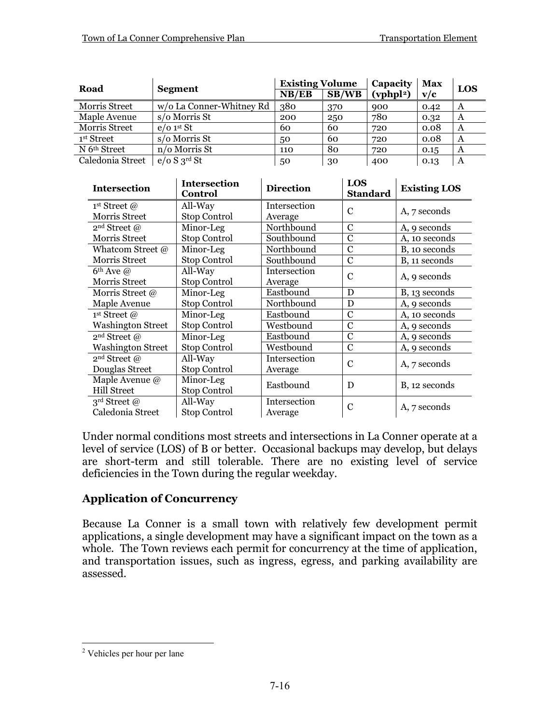| Road                     |                          | <b>Existing Volume</b> |       | Capacity              | <b>Max</b> | LOS |
|--------------------------|--------------------------|------------------------|-------|-----------------------|------------|-----|
|                          | <b>Segment</b>           | NB/EB                  | SB/WB | (vphpl <sup>2</sup> ) | v/c        |     |
| Morris Street            | w/o La Conner-Whitney Rd | 380                    | 370   | 900                   | 0.42       | A   |
| Maple Avenue             | s/o Morris St            | 200                    | 250   | 780                   | 0.32       | A   |
| Morris Street            | $e/o$ 1st St             | 60                     | 60    | 720                   | 0.08       | A   |
| 1 <sup>st</sup> Street   | s/o Morris St            | 50                     | 60    | 720                   | 0.08       | A   |
| N 6 <sup>th</sup> Street | n/o Morris St            | 110                    | 80    | 720                   | 0.15       | A   |
| Caledonia Street         | $e/o S3^{rd}$ St         | 50                     | 30    | 400                   | 0.13       | A   |

| <b>Intersection</b>      | <b>Intersection</b><br><b>Control</b> | <b>Direction</b>    | LOS<br><b>Standard</b> | <b>Existing LOS</b> |
|--------------------------|---------------------------------------|---------------------|------------------------|---------------------|
| 1 <sup>st</sup> Street @ | All-Way                               | <b>Intersection</b> | C                      | A, 7 seconds        |
| Morris Street            | <b>Stop Control</b>                   | Average             |                        |                     |
| 2 <sup>nd</sup> Street @ | Minor-Leg                             | Northbound          | $\mathcal{C}$          | A, 9 seconds        |
| <b>Morris Street</b>     | <b>Stop Control</b>                   | Southbound          | $\mathcal{C}$          | A, 10 seconds       |
| Whatcom Street @         | Minor-Leg                             | Northbound          | $\mathcal{C}$          | B, 10 seconds       |
| Morris Street            | <b>Stop Control</b>                   | Southbound          | C                      | B, 11 seconds       |
| $6th$ Ave $@$            | All-Way                               | Intersection        | C                      |                     |
| <b>Morris Street</b>     | <b>Stop Control</b>                   | Average             |                        | A, 9 seconds        |
| Morris Street @          | Minor-Leg                             | Eastbound           | D                      | B, 13 seconds       |
| Maple Avenue             | Stop Control                          | Northbound          | D                      | A, 9 seconds        |
| 1 <sup>st</sup> Street @ | Minor-Leg                             | Eastbound           | $\mathcal{C}$          | A, 10 seconds       |
| <b>Washington Street</b> | <b>Stop Control</b>                   | Westbound           | $\overline{C}$         | A, 9 seconds        |
| 2 <sup>nd</sup> Street @ | Minor-Leg                             | Eastbound           | C                      | A, 9 seconds        |
| <b>Washington Street</b> | Stop Control                          | Westbound           | $\mathcal{C}$          | A, 9 seconds        |
| 2 <sup>nd</sup> Street @ | All-Way                               | Intersection        | C                      |                     |
| Douglas Street           | <b>Stop Control</b>                   | Average             |                        | A, 7 seconds        |
| Maple Avenue @           | Minor-Leg                             | Eastbound           | D                      |                     |
| <b>Hill Street</b>       | Stop Control                          |                     |                        | B, 12 seconds       |
| $3^{\text{rd}}$ Street @ | All-Way                               | Intersection        | C                      |                     |
| Caledonia Street         | Stop Control                          | Average             |                        | A, 7 seconds        |

Under normal conditions most streets and intersections in La Conner operate at a level of service (LOS) of B or better. Occasional backups may develop, but delays are short-term and still tolerable. There are no existing level of service deficiencies in the Town during the regular weekday.

# **Application of Concurrency**

Because La Conner is a small town with relatively few development permit applications, a single development may have a significant impact on the town as a whole. The Town reviews each permit for concurrency at the time of application, and transportation issues, such as ingress, egress, and parking availability are assessed.

<span id="page-15-0"></span><sup>&</sup>lt;sup>2</sup> Vehicles per hour per lane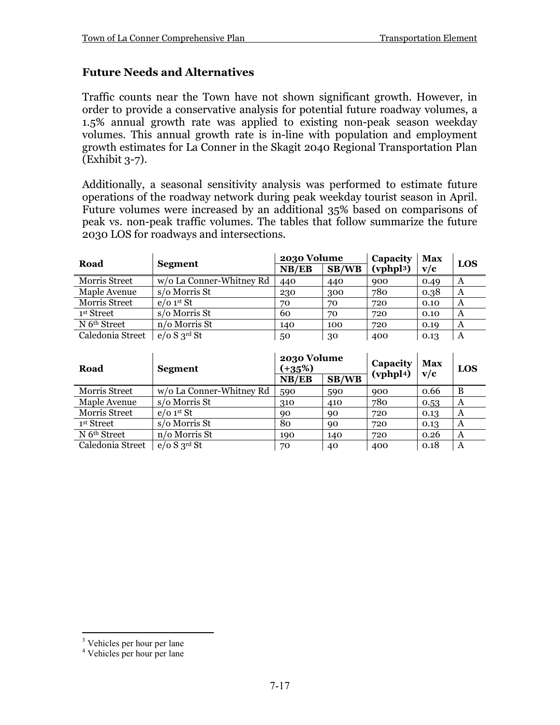# **Future Needs and Alternatives**

Traffic counts near the Town have not shown significant growth. However, in order to provide a conservative analysis for potential future roadway volumes, a 1.5% annual growth rate was applied to existing non-peak season weekday volumes. This annual growth rate is in-line with population and employment growth estimates for La Conner in the Skagit 2040 Regional Transportation Plan (Exhibit 3-7).

Additionally, a seasonal sensitivity analysis was performed to estimate future operations of the roadway network during peak weekday tourist season in April. Future volumes were increased by an additional 35% based on comparisons of peak vs. non-peak traffic volumes. The tables that follow summarize the future 2030 LOS for roadways and intersections.

| Road                     |                          | 2030 Volume |       | Capacity | <b>Max</b> | LOS |
|--------------------------|--------------------------|-------------|-------|----------|------------|-----|
|                          | Segment                  | NB/EB       | SB/WB | (vphp13) | v/c        |     |
| Morris Street            | w/o La Conner-Whitney Rd | 440         | 440   | 900      | 0.49       | A   |
| Maple Avenue             | s/o Morris St            | 230         | 300   | 780      | 0.38       | A   |
| Morris Street            | $e$ /0 1st St            | 70          | 70    | 720      | 0.10       | A   |
| 1st Street               | s/o Morris St            | 60          | 70    | 720      | 0.10       | A   |
| N 6 <sup>th</sup> Street | n/o Morris St            | 140         | 100   | 720      | 0.19       | A   |
| Caledonia Street         | e/o S 3 <sup>rd</sup> St | 50          | 30    | 400      | 0.13       | A   |

| Road                     | <b>Segment</b>           | 2030 Volume<br>$(+35%)$ |       | Capacity<br>(vphpl <sub>4</sub> ) | Max<br>v/c | LOS |
|--------------------------|--------------------------|-------------------------|-------|-----------------------------------|------------|-----|
|                          |                          | NB/EB                   | SB/WB |                                   |            |     |
| <b>Morris Street</b>     | w/o La Conner-Whitney Rd | 590                     | 590   | 900                               | 0.66       | B   |
| Maple Avenue             | s/o Morris St            | 310                     | 410   | 780                               | 0.53       | A   |
| Morris Street            | $e/o$ 1 <sup>st</sup> St | 90                      | 90    | 720                               | 0.13       | A   |
| <sup>1st</sup> Street    | s/o Morris St            | 80                      | 90    | 720                               | 0.13       | A   |
| N 6 <sup>th</sup> Street | n/o Morris St            | 190                     | 140   | 720                               | 0.26       | A   |
| Caledonia Street         | e/o S 3 <sup>rd</sup> St | 70                      | 40    | 400                               | 0.18       | A   |

<span id="page-16-0"></span><sup>&</sup>lt;sup>3</sup> Vehicles per hour per lane

<span id="page-16-1"></span><sup>4</sup> Vehicles per hour per lane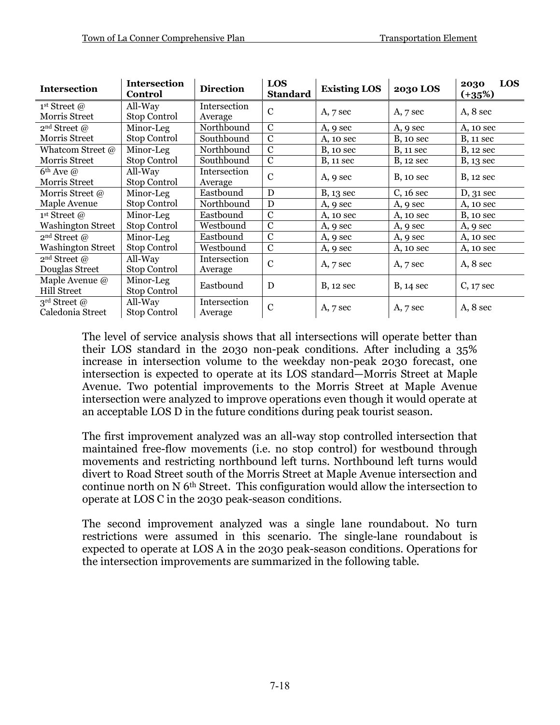| <b>Intersection</b>                              | <b>Intersection</b><br><b>Control</b> | <b>Direction</b>        | LOS<br><b>Standard</b> | <b>Existing LOS</b> | <b>2030 LOS</b>   | LOS<br>2030<br>$(+35%)$ |
|--------------------------------------------------|---------------------------------------|-------------------------|------------------------|---------------------|-------------------|-------------------------|
| 1 <sup>st</sup> Street @<br><b>Morris Street</b> | All-Way<br><b>Stop Control</b>        | Intersection<br>Average | $\mathbf C$            | $A, 7$ sec          | $A, 7$ sec        | $A, 8$ sec              |
| 2 <sup>nd</sup> Street @                         | Minor-Leg                             | Northbound              | $\mathcal{C}$          | A, 9 sec            | A, 9 sec          | A, 10 sec               |
| Morris Street                                    | Stop Control                          | Southbound              | $\mathbf C$            | A, 10 sec           | $B$ , 10 sec      | <b>B</b> , 11 sec       |
| Whatcom Street @                                 | Minor-Leg                             | Northbound              | $\mathbf C$            | <b>B</b> , 10 sec   | <b>B</b> , 11 sec | <b>B</b> , 12 sec       |
| <b>Morris Street</b>                             | Stop Control                          | Southbound              | $\mathbf C$            | <b>B</b> , 11 sec   | <b>B</b> , 12 sec | <b>B</b> , 13 sec       |
| $6th$ Ave $\omega$<br>Morris Street              | All-Way<br>Stop Control               | Intersection<br>Average | $\mathbf C$            | A, 9 sec            | <b>B</b> , 10 sec | <b>B</b> , 12 sec       |
| Morris Street @                                  | Minor-Leg                             | Eastbound               | D                      | $B, 13$ sec         | $C, 16$ sec       | $D, 31$ sec             |
| Maple Avenue                                     | Stop Control                          | Northbound              | D                      | A, 9 sec            | A, 9 sec          | A, 10 sec               |
| 1 <sup>st</sup> Street @                         | Minor-Leg                             | Eastbound               | $\mathcal{C}$          | A, 10 sec           | A, 10 sec         | $B$ , 10 sec            |
| <b>Washington Street</b>                         | Stop Control                          | Westbound               | $\mathcal{C}$          | A, 9 sec            | A, 9 sec          | A, 9 sec                |
| 2 <sup>nd</sup> Street @                         | Minor-Leg                             | Eastbound               | $\mathcal{C}$          | A, 9 sec            | A, 9 sec          | A, 10 sec               |
| <b>Washington Street</b>                         | Stop Control                          | Westbound               | $\mathbf C$            | A, 9 sec            | A, 10 sec         | A, 10 sec               |
| 2 <sup>nd</sup> Street @<br>Douglas Street       | All-Way<br>Stop Control               | Intersection<br>Average | $\mathbf C$            | $A, 7$ sec          | A, 7 sec          | $A, 8$ sec              |
| Maple Avenue $@$<br><b>Hill Street</b>           | Minor-Leg<br>Stop Control             | Eastbound               | D                      | $B$ , 12 sec        | $B, 14$ sec       | $C, 17$ sec             |
| $3^{\text{rd}}$ Street @<br>Caledonia Street     | All-Way<br><b>Stop Control</b>        | Intersection<br>Average | $\mathcal{C}$          | A, 7 sec            | A, 7 sec          | A, 8 sec                |

The level of service analysis shows that all intersections will operate better than their LOS standard in the 2030 non-peak conditions. After including a 35% increase in intersection volume to the weekday non-peak 2030 forecast, one intersection is expected to operate at its LOS standard—Morris Street at Maple Avenue. Two potential improvements to the Morris Street at Maple Avenue intersection were analyzed to improve operations even though it would operate at an acceptable LOS D in the future conditions during peak tourist season.

The first improvement analyzed was an all-way stop controlled intersection that maintained free-flow movements (i.e. no stop control) for westbound through movements and restricting northbound left turns. Northbound left turns would divert to Road Street south of the Morris Street at Maple Avenue intersection and continue north on N 6th Street. This configuration would allow the intersection to operate at LOS C in the 2030 peak-season conditions.

The second improvement analyzed was a single lane roundabout. No turn restrictions were assumed in this scenario. The single-lane roundabout is expected to operate at LOS A in the 2030 peak-season conditions. Operations for the intersection improvements are summarized in the following table.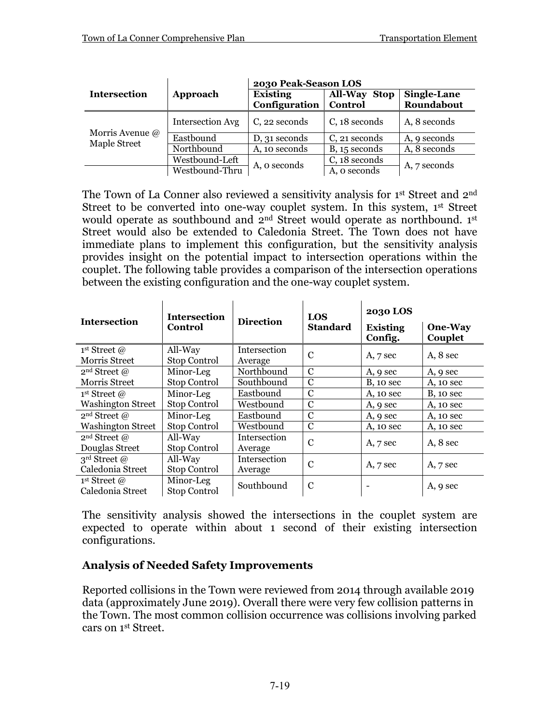|                                 |                         | 2030 Peak-Season LOS             |                                          |                                  |  |  |
|---------------------------------|-------------------------|----------------------------------|------------------------------------------|----------------------------------|--|--|
| <b>Intersection</b>             | Approach                | <b>Existing</b><br>Configuration | <b>All-Way</b><br><b>Stop</b><br>Control | <b>Single-Lane</b><br>Roundabout |  |  |
| Morris Avenue @<br>Maple Street | <b>Intersection Avg</b> | C, 22 seconds                    | C, 18 seconds                            | A, 8 seconds                     |  |  |
|                                 | Eastbound               | D, 31 seconds                    | C, 21 seconds                            | A, 9 seconds                     |  |  |
|                                 | Northbound              | A, 10 seconds                    | $B, 15$ seconds                          | A, 8 seconds                     |  |  |
|                                 | Westbound-Left          | A, o seconds                     | C, 18 seconds                            |                                  |  |  |
|                                 | Westbound-Thru          |                                  | A, o seconds                             | A, 7 seconds                     |  |  |

The Town of La Conner also reviewed a sensitivity analysis for 1<sup>st</sup> Street and 2<sup>nd</sup> Street to be converted into one-way couplet system. In this system, 1st Street would operate as southbound and 2<sup>nd</sup> Street would operate as northbound. 1st Street would also be extended to Caledonia Street. The Town does not have immediate plans to implement this configuration, but the sensitivity analysis provides insight on the potential impact to intersection operations within the couplet. The following table provides a comparison of the intersection operations between the existing configuration and the one-way couplet system.

 $\mathbf{r}$ 

 $\mathbf{r}$ 

|                          | <b>Intersection</b> |                  | <b>LOS</b>      | <b>2030 LOS</b>            |                    |  |
|--------------------------|---------------------|------------------|-----------------|----------------------------|--------------------|--|
| <b>Intersection</b>      | Control             | <b>Direction</b> | <b>Standard</b> | <b>Existing</b><br>Config. | One-Way<br>Couplet |  |
| 1 <sup>st</sup> Street @ | All-Way             | Intersection     | $\mathbf C$     | $A, 7$ sec                 | A, 8 sec           |  |
| Morris Street            | Stop Control        | Average          |                 |                            |                    |  |
| 2 <sup>nd</sup> Street @ | Minor-Leg           | Northbound       | $\mathbf C$     | A, 9 sec                   | A, 9 sec           |  |
| Morris Street            | Stop Control        | Southbound       | C               | <b>B</b> , 10 sec          | A, 10 sec          |  |
| 1 <sup>st</sup> Street @ | Minor-Leg           | Eastbound        | C               | A, 10 sec                  | $B$ , 10 sec       |  |
| <b>Washington Street</b> | Stop Control        | Westbound        | C               | A, 9 sec                   | A, 10 sec          |  |
| 2 <sup>nd</sup> Street @ | Minor-Leg           | Eastbound        | C               | A, 9 sec                   | A, 10 sec          |  |
| <b>Washington Street</b> | Stop Control        | Westbound        | C               | A, 10 sec                  | A, 10 sec          |  |
| 2 <sup>nd</sup> Street @ | All-Way             | Intersection     | $\mathbf C$     | $A, 7$ sec                 | A, 8 sec           |  |
| Douglas Street           | Stop Control        | Average          |                 |                            |                    |  |
| 3 <sup>rd</sup> Street @ | All-Way             | Intersection     | C               |                            |                    |  |
| Caledonia Street         | Stop Control        | Average          |                 | $A, 7$ sec                 | $A, 7$ sec         |  |
| 1st Street $\omega$      | Minor-Leg           | Southbound       | C               |                            |                    |  |
| Caledonia Street         | <b>Stop Control</b> |                  |                 |                            | A, 9 sec           |  |

The sensitivity analysis showed the intersections in the couplet system are expected to operate within about 1 second of their existing intersection configurations.

# **Analysis of Needed Safety Improvements**

Reported collisions in the Town were reviewed from 2014 through available 2019 data (approximately June 2019). Overall there were very few collision patterns in the Town. The most common collision occurrence was collisions involving parked cars on 1st Street.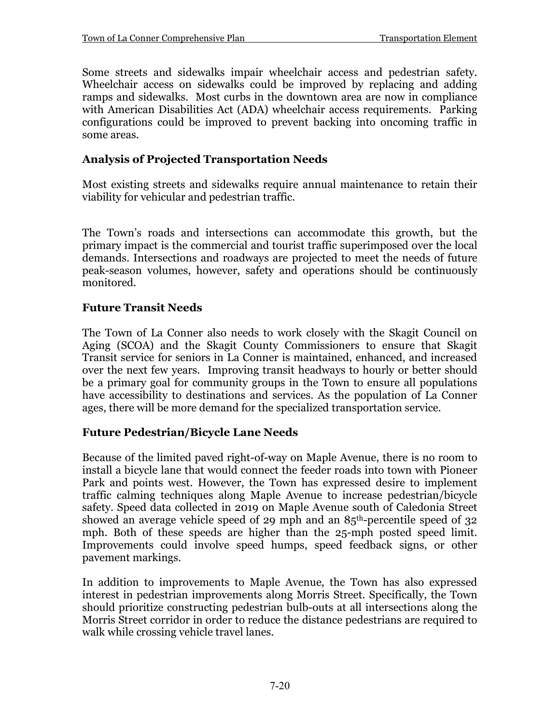Some streets and sidewalks impair wheelchair access and pedestrian safety. Wheelchair access on sidewalks could be improved by replacing and adding ramps and sidewalks. Most curbs in the downtown area are now in compliance with American Disabilities Act (ADA) wheelchair access requirements. Parking configurations could be improved to prevent backing into oncoming traffic in some areas.

# **Analysis of Projected Transportation Needs**

Most existing streets and sidewalks require annual maintenance to retain their viability for vehicular and pedestrian traffic.

The Town's roads and intersections can accommodate this growth, but the primary impact is the commercial and tourist traffic superimposed over the local demands. Intersections and roadways are projected to meet the needs of future peak-season volumes, however, safety and operations should be continuously monitored.

# **Future Transit Needs**

The Town of La Conner also needs to work closely with the Skagit Council on Aging (SCOA) and the Skagit County Commissioners to ensure that Skagit Transit service for seniors in La Conner is maintained, enhanced, and increased over the next few years. Improving transit headways to hourly or better should be a primary goal for community groups in the Town to ensure all populations have accessibility to destinations and services. As the population of La Conner ages, there will be more demand for the specialized transportation service.

# **Future Pedestrian/Bicycle Lane Needs**

Because of the limited paved right-of-way on Maple Avenue, there is no room to install a bicycle lane that would connect the feeder roads into town with Pioneer Park and points west. However, the Town has expressed desire to implement traffic calming techniques along Maple Avenue to increase pedestrian/bicycle safety. Speed data collected in 2019 on Maple Avenue south of Caledonia Street showed an average vehicle speed of 29 mph and an  $85<sup>th</sup>$ -percentile speed of 32 mph. Both of these speeds are higher than the 25-mph posted speed limit. Improvements could involve speed humps, speed feedback signs, or other pavement markings.

In addition to improvements to Maple Avenue, the Town has also expressed interest in pedestrian improvements along Morris Street. Specifically, the Town should prioritize constructing pedestrian bulb-outs at all intersections along the Morris Street corridor in order to reduce the distance pedestrians are required to walk while crossing vehicle travel lanes.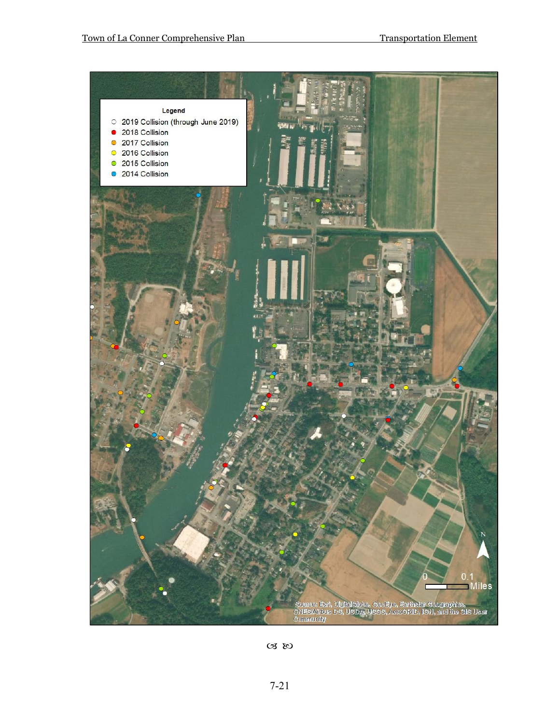

 $\alpha$  so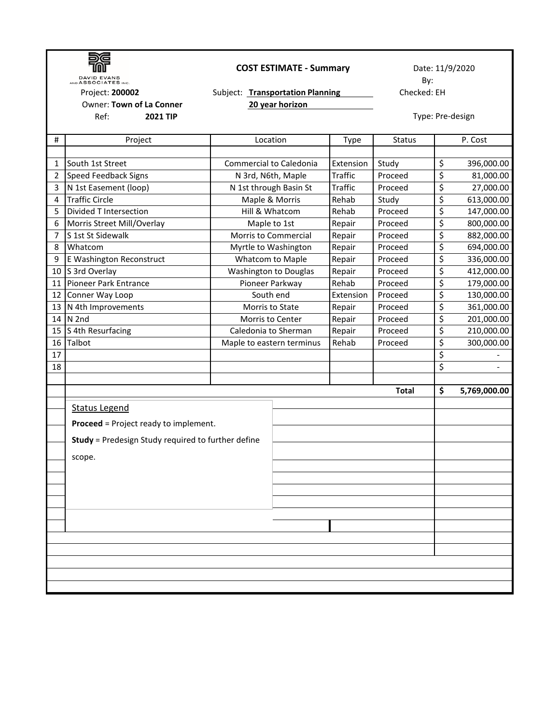|                | <b>DAVID EVANS</b>                                        | <b>COST ESTIMATE - Summary</b>   | Date: 11/9/2020  |               |    |              |  |  |
|----------------|-----------------------------------------------------------|----------------------------------|------------------|---------------|----|--------------|--|--|
|                | AND ASSOCIATES INC.                                       |                                  | By:              |               |    |              |  |  |
|                | Project: 200002<br>Owner: Town of La Conner               | Subject: Transportation Planning | Checked: EH      |               |    |              |  |  |
|                | <b>2021 TIP</b>                                           | 20 year horizon                  |                  |               |    |              |  |  |
|                | Ref:                                                      |                                  | Type: Pre-design |               |    |              |  |  |
| #              | Project                                                   | Location                         | Type             | <b>Status</b> |    | P. Cost      |  |  |
|                |                                                           |                                  |                  |               |    |              |  |  |
| 1              | South 1st Street                                          | Commercial to Caledonia          | Extension        | Study         | \$ | 396,000.00   |  |  |
| $\overline{2}$ | <b>Speed Feedback Signs</b>                               | N 3rd, N6th, Maple               | <b>Traffic</b>   | Proceed       | \$ | 81,000.00    |  |  |
| 3              | N 1st Easement (loop)                                     | N 1st through Basin St           | Traffic          | Proceed       | \$ | 27,000.00    |  |  |
| 4              | <b>Traffic Circle</b>                                     | Maple & Morris                   | Rehab            | Study         | \$ | 613,000.00   |  |  |
| 5              | Divided T Intersection                                    | Hill & Whatcom                   | Rehab            | Proceed       | \$ | 147,000.00   |  |  |
| 6              | Morris Street Mill/Overlay                                | Maple to 1st                     | Repair           | Proceed       | \$ | 800,000.00   |  |  |
| 7              | S 1st St Sidewalk                                         | <b>Morris to Commercial</b>      | Repair           | Proceed       | \$ | 882,000.00   |  |  |
| 8              | Whatcom                                                   | Myrtle to Washington             | Repair           | Proceed       | \$ | 694,000.00   |  |  |
| 9              | E Washington Reconstruct                                  | Whatcom to Maple                 | Repair           | Proceed       | \$ | 336,000.00   |  |  |
| 10             | S 3rd Overlay                                             | <b>Washington to Douglas</b>     | Repair           | Proceed       | \$ | 412,000.00   |  |  |
| 11             | Pioneer Park Entrance                                     | Pioneer Parkway                  | Rehab            | Proceed       | \$ | 179,000.00   |  |  |
| 12             | Conner Way Loop                                           | South end                        | Extension        | Proceed       | \$ | 130,000.00   |  |  |
| 13             | N 4th Improvements                                        | Morris to State                  | Repair           | Proceed       | \$ | 361,000.00   |  |  |
| 14             | N 2nd                                                     | Morris to Center                 | Repair           | Proceed       | \$ | 201,000.00   |  |  |
| 15             | S 4th Resurfacing                                         | Caledonia to Sherman             | Repair           | Proceed       | \$ | 210,000.00   |  |  |
| 16             | Talbot                                                    | Maple to eastern terminus        | Rehab            | Proceed       | \$ | 300,000.00   |  |  |
| 17             |                                                           |                                  |                  |               | \$ |              |  |  |
| 18             |                                                           |                                  |                  |               | \$ |              |  |  |
|                |                                                           |                                  |                  |               |    |              |  |  |
|                |                                                           |                                  |                  | <b>Total</b>  | \$ | 5,769,000.00 |  |  |
|                | <b>Status Legend</b>                                      |                                  |                  |               |    |              |  |  |
|                |                                                           |                                  |                  |               |    |              |  |  |
|                | <b>Proceed</b> = Project ready to implement.              |                                  |                  |               |    |              |  |  |
|                | <b>Study</b> = Predesign Study required to further define |                                  |                  |               |    |              |  |  |
|                |                                                           |                                  |                  |               |    |              |  |  |
|                | scope.                                                    |                                  |                  |               |    |              |  |  |
|                |                                                           |                                  |                  |               |    |              |  |  |
|                |                                                           |                                  |                  |               |    |              |  |  |
|                |                                                           |                                  |                  |               |    |              |  |  |
|                |                                                           |                                  |                  |               |    |              |  |  |
|                |                                                           |                                  |                  |               |    |              |  |  |
|                |                                                           |                                  |                  |               |    |              |  |  |
|                |                                                           |                                  |                  |               |    |              |  |  |
|                |                                                           |                                  |                  |               |    |              |  |  |
|                |                                                           |                                  |                  |               |    |              |  |  |
|                |                                                           |                                  |                  |               |    |              |  |  |
|                |                                                           |                                  |                  |               |    |              |  |  |